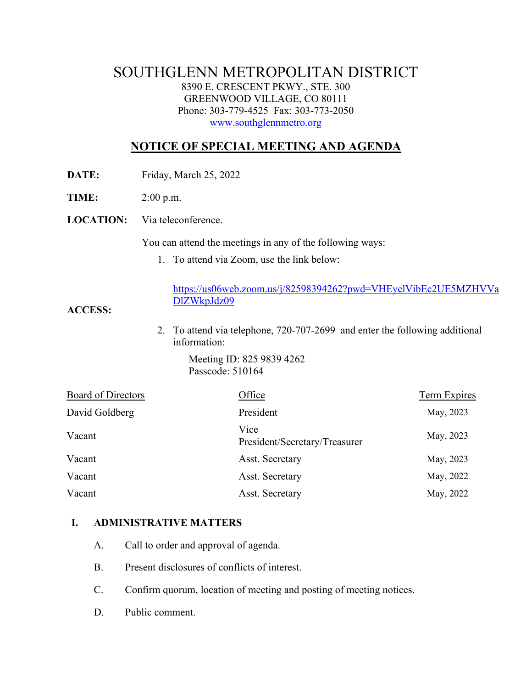# SOUTHGLENN METROPOLITAN DISTRICT 8390 E. CRESCENT PKWY., STE. 300 GREENWOOD VILLAGE, CO 80111 Phone: 303-779-4525 Fax: 303-773-2050 [www.southglennmetro.org](http://www.southglennmetro.org/)

# **NOTICE OF SPECIAL MEETING AND AGENDA**

**DATE:** Friday, March 25, 2022

**TIME:** 2:00 p.m.

**LOCATION:** Via teleconference.

You can attend the meetings in any of the following ways:

1. To attend via Zoom, use the link below:

[https://us06web.zoom.us/j/82598394262?pwd=VHEyelVibEc2UE5MZHVVa](https://nam11.safelinks.protection.outlook.com/?url=https%3A%2F%2Fus06web.zoom.us%2Fj%2F82598394262%3Fpwd%3DVHEyelVibEc2UE5MZHVVaDlZWkpJdz09&data=04%7C01%7Crachel.alles%40claconnect.com%7Ce7cd39943ebc457ad1b208da0b6d33d3%7C4aaa468e93ba4ee3ab9f6a247aa3ade0%7C0%7C0%7C637834861059358998%7CUnknown%7CTWFpbGZsb3d8eyJWIjoiMC4wLjAwMDAiLCJQIjoiV2luMzIiLCJBTiI6Ik1haWwiLCJXVCI6Mn0%3D%7C0&sdata=Y0iz8z1Btoia9zylods0XOoIl2D8NsOiJMTPc7gAf2k%3D&reserved=0) [DlZWkpJdz09](https://nam11.safelinks.protection.outlook.com/?url=https%3A%2F%2Fus06web.zoom.us%2Fj%2F82598394262%3Fpwd%3DVHEyelVibEc2UE5MZHVVaDlZWkpJdz09&data=04%7C01%7Crachel.alles%40claconnect.com%7Ce7cd39943ebc457ad1b208da0b6d33d3%7C4aaa468e93ba4ee3ab9f6a247aa3ade0%7C0%7C0%7C637834861059358998%7CUnknown%7CTWFpbGZsb3d8eyJWIjoiMC4wLjAwMDAiLCJQIjoiV2luMzIiLCJBTiI6Ik1haWwiLCJXVCI6Mn0%3D%7C0&sdata=Y0iz8z1Btoia9zylods0XOoIl2D8NsOiJMTPc7gAf2k%3D&reserved=0)

**ACCESS:**

2. To attend via telephone, 720-707-2699 and enter the following additional information:

> Meeting ID: 825 9839 4262 Passcode: 510164

| Board of Directors | Office                                | <b>Term Expires</b> |
|--------------------|---------------------------------------|---------------------|
| David Goldberg     | President                             | May, 2023           |
| Vacant             | Vice<br>President/Secretary/Treasurer | May, 2023           |
| Vacant             | Asst. Secretary                       | May, 2023           |
| Vacant             | Asst. Secretary                       | May, 2022           |
| Vacant             | Asst. Secretary                       | May, 2022           |

#### **I. ADMINISTRATIVE MATTERS**

- A. Call to order and approval of agenda.
- B. Present disclosures of conflicts of interest.
- C. Confirm quorum, location of meeting and posting of meeting notices.
- D. Public comment.